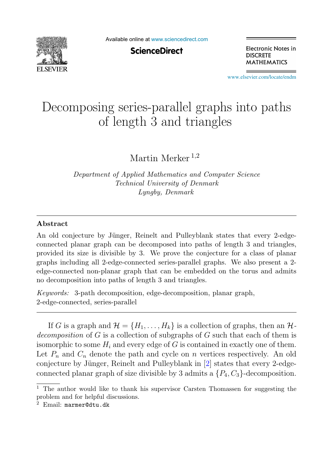

Available online at [www.sciencedirect.com](http://www.sciencedirect.com)

**ScienceDirect** 

Electronic Notes in **DISCRETE MATHEMATICS** 

[www.elsevier.com/locate/endm](http://www.elsevier.com/locate/endm)

## Decomposing series-parallel graphs into paths of length 3 and triangles

Martin Merker<sup>1,2</sup>

*Department of Applied Mathematics and Computer Science Technical University of Denmark Lyngby, Denmark*

## **Abstract**

An old conjecture by Jünger, Reinelt and Pulleyblank states that every 2-edgeconnected planar graph can be decomposed into paths of length 3 and triangles, provided its size is divisible by 3. We prove the conjecture for a class of planar graphs including all 2-edge-connected series-parallel graphs. We also present a 2 edge-connected non-planar graph that can be embedded on the torus and admits no decomposition into paths of length 3 and triangles.

*Keywords:* 3-path decomposition, edge-decomposition, planar graph, 2-edge-connected, series-parallel

If G is a graph and  $\mathcal{H} = \{H_1, \ldots, H_k\}$  is a collection of graphs, then an  $\mathcal{H}$ decomposition of G is a collection of subgraphs of G such that each of them is isomorphic to some  $H_i$  and every edge of G is contained in exactly one of them. Let  $P_n$  and  $C_n$  denote the path and cycle on n vertices respectively. An old conjecture by Jünger, Reinelt and Pulleyblank in [2] states that every 2-edgeconnected planar graph of size divisible by 3 admits a  $\{P_4, C_3\}$ -decomposition.

<sup>1</sup> The author would like to thank his supervisor Carsten Thomassen for suggesting the problem and for helpful discussions.

<sup>2</sup> Email: marmer@dtu.dk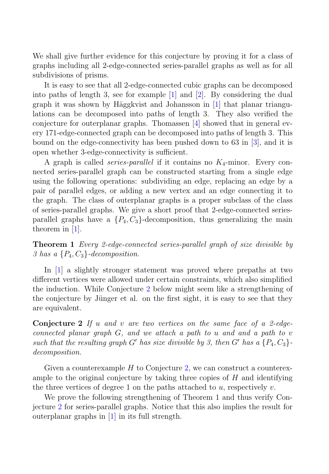We shall give further evidence for this conjecture by proving it for a class of graphs including all 2-edge-connected series-parallel graphs as well as for all subdivisions of prisms.

It is easy to see that all 2-edge-connected cubic graphs can be decomposed into paths of length 3, see for example [1] and [2]. By considering the dual graph it was shown by Häggkvist and Johansson in  $[1]$  that planar triangulations can be decomposed into paths of length 3. They also verified the conjecture for outerplanar graphs. Thomassen [4] showed that in general every 171-edge-connected graph can be decomposed into paths of length 3. This bound on the edge-connectivity has been pushed down to 63 in [3], and it is open whether 3-edge-connectivity is sufficient.

A graph is called *series-parallel* if it contains no  $K_4$ -minor. Every connected series-parallel graph can be constructed starting from a single edge using the following operations: subdividing an edge, replacing an edge by a pair of parallel edges, or adding a new vertex and an edge connecting it to the graph. The class of outerplanar graphs is a proper subclass of the class of series-parallel graphs. We give a short proof that 2-edge-connected seriesparallel graphs have a  $\{P_4, C_3\}$ -decomposition, thus generalizing the main theorem in [1].

**Theorem 1** Every 2-edge-connected series-parallel graph of size divisible by 3 has a  $\{P_4, C_3\}$ -decomposition.

In [1] a slightly stronger statement was proved where prepaths at two different vertices were allowed under certain constraints, which also simplified the induction. While Conjecture 2 below might seem like a strengthening of the conjecture by Jünger et al. on the first sight, it is easy to see that they are equivalent.

**Conjecture 2** If u and v are two vertices on the same face of a 2-edgeconnected planar graph  $G$ , and we attach a path to u and and a path to v such that the resulting graph G' has size divisible by 3, then G' has a  $\{P_4, C_3\}$ decomposition.

Given a counterexample  $H$  to Conjecture 2, we can construct a counterexample to the original conjecture by taking three copies of  $H$  and identifying the three vertices of degree 1 on the paths attached to  $u$ , respectively  $v$ .

We prove the following strengthening of Theorem 1 and thus verify Conjecture 2 for series-parallel graphs. Notice that this also implies the result for outerplanar graphs in [1] in its full strength.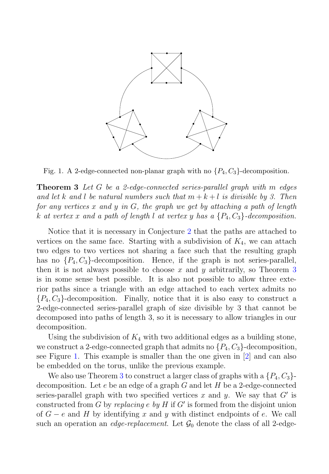

Fig. 1. A 2-edge-connected non-planar graph with no  $\{P_4, C_3\}$ -decomposition.

**Theorem 3** Let G be a 2-edge-connected series-parallel graph with m edges and let k and l be natural numbers such that  $m + k + l$  is divisible by 3. Then for any vertices x and y in  $G$ , the graph we get by attaching a path of length k at vertex x and a path of length l at vertex y has a  $\{P_4, C_3\}$ -decomposition.

Notice that it is necessary in Conjecture 2 that the paths are attached to vertices on the same face. Starting with a subdivision of  $K_4$ , we can attach two edges to two vertices not sharing a face such that the resulting graph has no  $\{P_4, C_3\}$ -decomposition. Hence, if the graph is not series-parallel, then it is not always possible to choose x and y arbitrarily, so Theorem  $3$ is in some sense best possible. It is also not possible to allow three exterior paths since a triangle with an edge attached to each vertex admits no  ${P_4, C_3}$ -decomposition. Finally, notice that it is also easy to construct a 2-edge-connected series-parallel graph of size divisible by 3 that cannot be decomposed into paths of length 3, so it is necessary to allow triangles in our decomposition.

Using the subdivision of  $K_4$  with two additional edges as a building stone, we construct a 2-edge-connected graph that admits no  $\{P_4, C_3\}$ -decomposition, see Figure 1. This example is smaller than the one given in [2] and can also be embedded on the torus, unlike the previous example.

We also use Theorem 3 to construct a larger class of graphs with a  $\{P_4, C_3\}$ decomposition. Let  $e$  be an edge of a graph  $G$  and let  $H$  be a 2-edge-connected series-parallel graph with two specified vertices x and y. We say that  $G'$  is constructed from  $G$  by replacing e by  $H$  if  $G'$  is formed from the disjoint union of  $G - e$  and H by identifying x and y with distinct endpoints of e. We call such an operation an *edge-replacement*. Let  $\mathcal{G}_0$  denote the class of all 2-edge